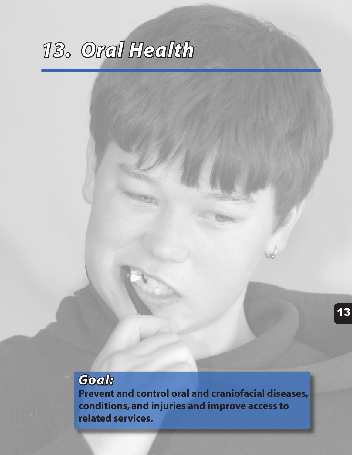Goal<sup>8</sup> **Prevent and control oral and craniofacial diseases,** conditions, and injuries and improve access to related services.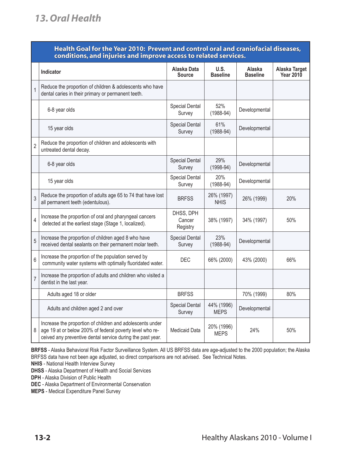### Health Goal for the Year 2010: Prevent and control oral and craniofacial diseases, conditions, and injuries and improve access to related services.

|                | Indicator                                                                                                                                                                           | Alaska Data<br><b>Source</b>    | U.S.<br><b>Baseline</b>   | Alaska<br><b>Baseline</b> | Alaska Target<br><b>Year 2010</b> |
|----------------|-------------------------------------------------------------------------------------------------------------------------------------------------------------------------------------|---------------------------------|---------------------------|---------------------------|-----------------------------------|
|                | Reduce the proportion of children & adolescents who have<br>dental caries in their primary or permanent teeth.                                                                      |                                 |                           |                           |                                   |
|                | 6-8 year olds                                                                                                                                                                       | <b>Special Dental</b><br>Survey | 52%<br>$(1988-94)$        | Developmental             |                                   |
|                | 15 year olds                                                                                                                                                                        | <b>Special Dental</b><br>Survey | 61%<br>$(1988-94)$        | Developmental             |                                   |
| $\overline{2}$ | Reduce the proportion of children and adolescents with<br>untreated dental decay.                                                                                                   |                                 |                           |                           |                                   |
|                | 6-8 year olds                                                                                                                                                                       | <b>Special Dental</b><br>Survey | 29%<br>$(1998-94)$        | Developmental             |                                   |
|                | 15 year olds                                                                                                                                                                        | Special Dental<br>Survey        | 20%<br>$(1988-94)$        | Developmental             |                                   |
| 3              | Reduce the proportion of adults age 65 to 74 that have lost<br>all permanent teeth (edentulous).                                                                                    | <b>BRFSS</b>                    | 26% (1997)<br><b>NHIS</b> | 26% (1999)                | 20%                               |
| 4              | Increase the proportion of oral and pharyngeal cancers<br>detected at the earliest stage (Stage 1, localized).                                                                      | DHSS, DPH<br>Cancer<br>Registry | 38% (1997)                | 34% (1997)                | 50%                               |
| 5              | Increase the proportion of children aged 8 who have<br>received dental sealants on their permanent molar teeth.                                                                     | <b>Special Dental</b><br>Survey | 23%<br>$(1988-94)$        | Developmental             |                                   |
| $6\,$          | Increase the proportion of the population served by<br>community water systems with optimally fluoridated water.                                                                    | <b>DEC</b>                      | 66% (2000)                | 43% (2000)                | 66%                               |
| $\overline{7}$ | Increase the proportion of adults and children who visited a<br>dentist in the last year.                                                                                           |                                 |                           |                           |                                   |
|                | Adults aged 18 or older                                                                                                                                                             | <b>BRFSS</b>                    |                           | 70% (1999)                | 80%                               |
|                | Adults and children aged 2 and over                                                                                                                                                 | <b>Special Dental</b><br>Survey | 44% (1996)<br><b>MEPS</b> | Developmental             |                                   |
| 8              | Increase the proportion of children and adolescents under<br>age 19 at or below 200% of federal poverty level who re-<br>ceived any preventive dental service during the past year. | <b>Medicaid Data</b>            | 20% (1996)<br><b>MEPS</b> | 24%                       | 50%                               |

**BRFSS** - Alaska Behavioral Risk Factor Surveillance System. All US BRFSS data are age-adjusted to the 2000 population; the Alaska BRFSS data have not been age adjusted, so direct comparisons are not advised. See Technical Notes.

**NHIS** - National Health Interview Survey

**DHSS** - Alaska Department of Health and Social Services

**DPH** - Alaska Division of Public Health

**DEC** - Alaska Department of Environmental Conservation

**MEPS** - Medical Expenditure Panel Survey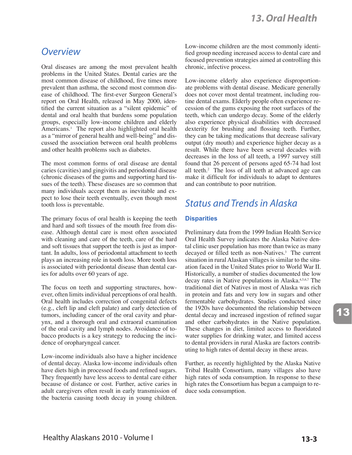### */VERVIEW*

Oral diseases are among the most prevalent health problems in the United States. Dental caries are the most common disease of childhood, five times more prevalent than asthma, the second most common disease of childhood. The first-ever Surgeon General's report on Oral Health, released in May 2000, identified the current situation as a "silent epidemic" of dental and oral health that burdens some population groups, especially low-income children and elderly Americans.<sup>1</sup> The report also highlighted oral health as a "mirror of general health and well-being" and discussed the association between oral health problems and other health problems such as diabetes.

The most common forms of oral disease are dental caries (cavities) and gingivitis and periodontal disease (chronic diseases of the gums and supporting hard tissues of the teeth). These diseases are so common that many individuals accept them as inevitable and expect to lose their teeth eventually, even though most tooth loss is preventable.

The primary focus of oral health is keeping the teeth and hard and soft tissues of the mouth free from disease. Although dental care is most often associated with cleaning and care of the teeth, care of the hard and soft tissues that support the teeth is just as important. In adults, loss of periodontal attachment to teeth plays an increasing role in tooth loss. More tooth loss is associated with periodontal disease than dental caries for adults over 60 years of age.

The focus on teeth and supporting structures, however, often limits individual perceptions of oral health. Oral health includes correction of congenital defects (e.g., cleft lip and cleft palate) and early detection of tumors, including cancer of the oral cavity and pharynx, and a thorough oral and extraoral examination of the oral cavity and lymph nodes. Avoidance of tobacco products is a key strategy to reducing the incidence of oropharyngeal cancer.

Low-income individuals also have a higher incidence of dental decay. Alaska low-income individuals often have diets high in processed foods and refined sugars. They frequently have less access to dental care either because of distance or cost. Further, active caries in adult caregivers often result in early transmission of the bacteria causing tooth decay in young children.

Low-income children are the most commonly identified group needing increased access to dental care and focused prevention strategies aimed at controlling this chronic, infective process.

Low-income elderly also experience disproportionate problems with dental disease. Medicare generally does not cover most dental treatment, including routine dental exams. Elderly people often experience recession of the gums exposing the root surfaces of the teeth, which can undergo decay. Some of the elderly also experience physical disabilities with decreased dexterity for brushing and flossing teeth. Further, they can be taking medications that decrease salivary output (dry mouth) and experience higher decay as a result. While there have been several decades with decreases in the loss of all teeth, a 1997 survey still found that 26 percent of persons aged 65-74 had lost all teeth.2 The loss of all teeth at advanced age can make it difficult for individuals to adapt to dentures and can contribute to poor nutrition.

### *<u>Status and Trends in Alaska</u>*

### **Disparities**

Preliminary data from the 1999 Indian Health Service Oral Health Survey indicates the Alaska Native dental clinic user population has more than twice as many decayed or filled teeth as non-Natives.3 The current situation in rural Alaskan villages is similar to the situation faced in the United States prior to World War II. Historically, a number of studies documented the low decay rates in Native populations in Alaska.<sup>4,5,6,7</sup> The traditional diet of Natives in most of Alaska was rich in protein and fats and very low in sugars and other fermentable carbohydrates. Studies conducted since the 1920s have documented the relationship between dental decay and increased ingestion of refined sugar and other carbohydrates in the Native population. These changes in diet, limited access to fluoridated water supplies for drinking water, and limited access to dental providers in rural Alaska are factors contributing to high rates of dental decay in these areas.

Further, as recently highlighted by the Alaska Native Tribal Health Consortium, many villages also have high rates of soda consumption. In response to these high rates the Consortium has begun a campaign to reduce soda consumption.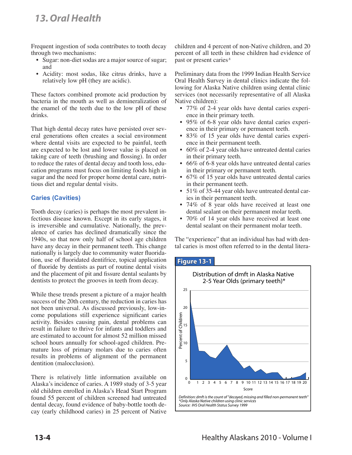Frequent ingestion of soda contributes to tooth decay through two mechanisms:

- Sugar: non-diet sodas are a major source of sugar; and
- Acidity: most sodas, like citrus drinks, have a relatively low pH (they are acidic).

These factors combined promote acid production by bacteria in the mouth as well as demineralization of the enamel of the teeth due to the low pH of these drinks.

That high dental decay rates have persisted over several generations often creates a social environment where dental visits are expected to be painful, teeth are expected to be lost and lower value is placed on taking care of teeth (brushing and flossing). In order to reduce the rates of dental decay and tooth loss, education programs must focus on limiting foods high in sugar and the need for proper home dental care, nutritious diet and regular dental visits.

### **Caries (Cavities)**

Tooth decay (caries) is perhaps the most prevalent infectious disease known. Except in its early stages, it is irreversible and cumulative. Nationally, the prevalence of caries has declined dramatically since the 1940s, so that now only half of school age children have any decay in their permanent teeth. This change nationally is largely due to community water fluoridation, use of fluoridated dentifrice, topical application of fluoride by dentists as part of routine dental visits and the placement of pit and fissure dental sealants by dentists to protect the grooves in teeth from decay.

While these trends present a picture of a major health success of the 20th century, the reduction in caries has not been universal. As discussed previously, low-income populations still experience significant caries activity. Besides causing pain, dental problems can result in failure to thrive for infants and toddlers and are estimated to account for almost 52 million missed school hours annually for school-aged children. Premature loss of primary molars due to caries often results in problems of alignment of the permanent dentition (malocclusion).

There is relatively little information available on Alaska's incidence of caries. A 1989 study of 3-5 year old children enrolled in Alaska's Head Start Program found 55 percent of children screened had untreated dental decay, found evidence of baby-bottle tooth decay (early childhood caries) in 25 percent of Native

children and 4 percent of non-Native children, and 20 percent of all teeth in these children had evidence of past or present caries.8

Preliminary data from the 1999 Indian Health Service Oral Health Survey in dental clinics indicate the following for Alaska Native children using dental clinic services (not necessarily representative of all Alaska Native children):

- 77% of 2-4 year olds have dental caries experience in their primary teeth.
- 95% of 6-8 year olds have dental caries experience in their primary or permanent teeth.
- 83% of 15 year olds have dental caries experience in their permanent teeth.
- 60% of 2-4 year olds have untreated dental caries in their primary teeth.
- 66% of 6-8 year olds have untreated dental caries in their primary or permanent teeth.
- 67% of 15 year olds have untreated dental caries in their permanent teeth.
- 51% of 35-44 year olds have untreated dental caries in their permanent teeth.
- 74% of 8 year olds have received at least one dental sealant on their permanent molar teeth.
- 70% of 14 year olds have received at least one dental sealant on their permanent molar teeth.

The "experience" that an individual has had with dental caries is most often referred to in the dental litera-

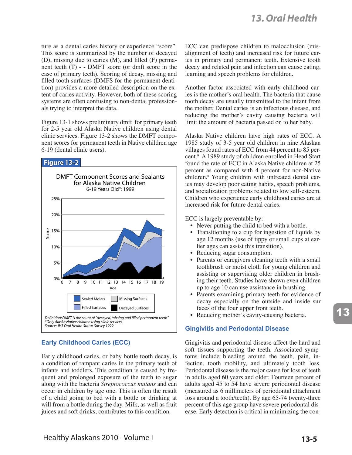ture as a dental caries history or experience "score". This score is summarized by the number of decayed (D), missing due to caries (M), and filled (F) permanent teeth (T) - - DMFT score (or dmft score in the case of primary teeth). Scoring of decay, missing and filled tooth surfaces (DMFS for the permanent dentition) provides a more detailed description on the extent of caries activity. However, both of these scoring systems are often confusing to non-dental professionals trying to interpret the data.

Figure 13-1 shows preliminary dmft for primary teeth for 2-5 year old Alaska Native children using dental clinic services. Figure 13-2 shows the DMFT component scores for permanent teeth in Native children age 6-19 (dental clinic users).

#### **Figure 13-2**



### **Early Childhood Caries (ECC)**

Early childhood caries, or baby bottle tooth decay, is a condition of rampant caries in the primary teeth of infants and toddlers. This condition is caused by frequent and prolonged exposure of the teeth to sugar along with the bacteria *Streptococcus mutans* and can occur in children by age one. This is often the result of a child going to bed with a bottle or drinking at will from a bottle during the day. Milk, as well as fruit juices and soft drinks, contributes to this condition.

ECC can predispose children to malocclusion (misalignment of teeth) and increased risk for future caries in primary and permanent teeth. Extensive tooth decay and related pain and infection can cause eating, learning and speech problems for children.

Another factor associated with early childhood caries is the mother's oral health. The bacteria that cause tooth decay are usually transmitted to the infant from the mother. Dental caries is an infectious disease, and reducing the mother's cavity causing bacteria will limit the amount of bacteria passed on to her baby.

Alaska Native children have high rates of ECC. A 1985 study of 3-5 year old children in nine Alaskan villages found rates of ECC from 44 percent to 85 percent.9 A 1989 study of children enrolled in Head Start found the rate of ECC in Alaska Native children at 25 percent as compared with 4 percent for non-Native children.8 Young children with untreated dental caries may develop poor eating habits, speech problems, and socialization problems related to low self-esteem. Children who experience early childhood caries are at increased risk for future dental caries.

ECC is largely preventable by:

- Never putting the child to bed with a bottle.
- Transitioning to a cup for ingestion of liquids by age 12 months (use of tippy or small cups at earlier ages can assist this transition).
- Reducing sugar consumption.
- Parents or caregivers cleaning teeth with a small toothbrush or moist cloth for young children and assisting or supervising older children in brushing their teeth. Studies have shown even children up to age 10 can use assistance in brushing.
- Parents examining primary teeth for evidence of decay especially on the outside and inside sur faces of the four upper front teeth.
- Reducing mother's cavity-causing bacteria.

### **Gingivitis and Periodontal Disease**

Gingivitis and periodontal disease affect the hard and soft tissues supporting the teeth. Associated symptoms include bleeding around the teeth, pain, infection, tooth mobility, and ultimately tooth loss. Periodontal disease is the major cause for loss of teeth in adults aged 60 years and older. Fourteen percent of adults aged 45 to 54 have severe periodontal disease (measured as 6 millimeters of periodontal attachment loss around a tooth/teeth). By age 65-74 twenty-three percent of this age group have severe periodontal disease. Early detection is critical in minimizing the con-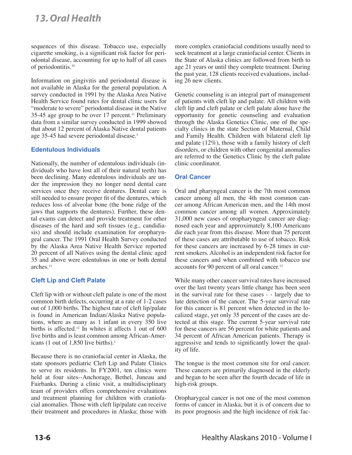sequences of this disease. Tobacco use, especially cigarette smoking, is a significant risk factor for periodontal disease, accounting for up to half of all cases of periodontitis.10

Information on gingivitis and periodontal disease is not available in Alaska for the general population. A survey conducted in 1991 by the Alaska Area Native Health Service found rates for dental clinic users for "moderate to severe" periodontal disease in the Native 35-45 age group to be over 17 percent.<sup>11</sup> Preliminary data from a similar survey conducted in 1999 showed that about 12 percent of Alaska Native dental patients age 35-45 had severe periodontal disease.<sup>3</sup>

### **Edentulous Individuals**

Nationally, the number of edentulous individuals (individuals who have lost all of their natural teeth) has been declining. Many edentulous individuals are under the impression they no longer need dental care services once they receive dentures. Dental care is still needed to ensure proper fit of the dentures, which reduces loss of alveolar bone (the bone ridge of the jaws that supports the dentures). Further, these dental exams can detect and provide treatment for other diseases of the hard and soft tissues (e.g., candidiasis) and should include examination for oropharyngeal cancer. The 1991 Oral Health Survey conducted by the Alaska Area Native Health Service reported 20 percent of all Natives using the dental clinic aged 35 and above were edentulous in one or both dental arches.<sup>11</sup>

#### **Cleft Lip and Cleft Palate**

Cleft lip with or without cleft palate is one of the most common birth defects, occurring at a rate of 1-2 cases out of 1,000 births. The highest rate of cleft lip/palate is found in American Indian/Alaska Native populations, where as many as 1 infant in every 350 live births is affected.<sup>12</sup> In whites it affects 1 out of 600 live births and is least common among African-Americans (1 out of 1,850 live births).<sup>1</sup>

Because there is no craniofacial center in Alaska, the state sponsors pediatric Cleft Lip and Palate Clinics to serve its residents. In FY2001, ten clinics were held at four sites--Anchorage, Bethel, Juneau and Fairbanks. During a clinic visit, a multidisciplinary team of providers offers comprehensive evaluations and treatment planning for children with craniofacial anomalies. Those with cleft lip/palate can receive their treatment and procedures in Alaska; those with

more complex craniofacial conditions usually need to seek treatment at a large craniofacial center. Clients in the State of Alaska clinics are followed from birth to age 21 years or until they complete treatment. During the past year, 128 clients received evaluations, including 26 new clients.

Genetic counseling is an integral part of management of patients with cleft lip and palate. All children with cleft lip and cleft palate or cleft palate alone have the opportunity for genetic counseling and evaluation through the Alaska Genetics Clinic, one of the specialty clinics in the state Section of Maternal, Child and Family Health. Children with bilateral cleft lip and palate (12%), those with a family history of cleft disorders, or children with other congenital anomalies are referred to the Genetics Clinic by the cleft palate clinic coordinator.

### **Oral Cancer**

Oral and pharyngeal cancer is the 7th most common cancer among all men, the 4th most common cancer among African American men, and the 14th most common cancer among all women. Approximately 31,000 new cases of oropharyngeal cancer are diagnosed each year and approximately 8,100 Americans die each year from this disease. More than 75 percent of these cases are attributable to use of tobacco. Risk for these cancers are increased by 6-28 times in current smokers. Alcohol is an independent risk factor for these cancers and when combined with tobacco use accounts for 90 percent of all oral cancer.<sup>13</sup>

While many other cancer survival rates have increased over the last twenty years little change has been seen in the survival rate for these cases - - largely due to late detection of the cancer. The 5-year survival rate for this cancer is 81 percent when detected in the localized stage, yet only 35 percent of the cases are detected at this stage. The current 5-year survival rate for these cancers are 56 percent for white patients and 34 percent of African American patients. Therapy is aggressive and tends to significantly lower the quality of life.

The tongue is the most common site for oral cancer. These cancers are primarily diagnosed in the elderly and began to be seen after the fourth decade of life in high-risk groups.

Oropharygeal cancer is not one of the most common forms of cancer in Alaska, but it is of concern due to its poor prognosis and the high incidence of risk fac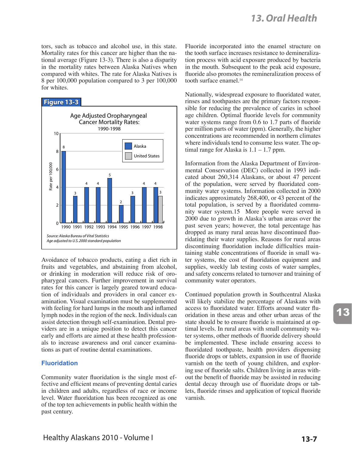tors, such as tobacco and alcohol use, in this state. Mortality rates for this cancer are higher than the national average (Figure 13-3). There is also a disparity in the mortality rates between Alaska Natives when compared with whites. The rate for Alaska Natives is 8 per 100,000 population compared to 3 per 100,000 for whites.



Avoidance of tobacco products, eating a diet rich in fruits and vegetables, and abstaining from alcohol, or drinking in moderation will reduce risk of oropharygeal cancers. Further improvement in survival rates for this cancer is largely geared toward education of individuals and providers in oral cancer examination. Visual examination must be supplemented with feeling for hard lumps in the mouth and inflamed lymph nodes in the region of the neck. Individuals can assist detection through self-examination. Dental providers are in a unique position to detect this cancer early and efforts are aimed at these health professionals to increase awareness and oral cancer examinations as part of routine dental examinations.

#### **Fluoridation**

Community water fluoridation is the single most effective and efficient means of preventing dental caries in children and adults, regardless of race or income level. Water fluoridation has been recognized as one of the top ten achievements in public health within the past century.

Fluoride incorporated into the enamel structure on the tooth surface increases resistance to demineralization process with acid exposure produced by bacteria in the mouth. Subsequent to the peak acid exposure, fluoride also promotes the remineralization process of tooth surface enamel.<sup>14</sup>

Nationally, widespread exposure to fluoridated water, rinses and toothpastes are the primary factors responsible for reducing the prevalence of caries in school age children. Optimal fluoride levels for community water systems range from 0.6 to 1.7 parts of fluoride per million parts of water (ppm). Generally, the higher concentrations are recommended in northern climates where individuals tend to consume less water. The optimal range for Alaska is 1.1 – 1.7 ppm.

Information from the Alaska Department of Environmental Conservation (DEC) collected in 1993 indicated about 260,314 Alaskans, or about 47 percent of the population, were served by fluoridated community water systems. Information collected in 2000 indicates approximately 268,400, or 43 percent of the total population, is served by a fluoridated community water system.15 More people were served in 2000 due to growth in Alaska's urban areas over the past seven years; however, the total percentage has dropped as many rural areas have discontinued fluoridating their water supplies. Reasons for rural areas discontinuing fluoridation include difficulties maintaining stable concentrations of fluoride in small water systems, the cost of fluoridation equipment and supplies, weekly lab testing costs of water samples, and safety concerns related to turnover and training of community water operators.

Continued population growth in Southcentral Alaska will likely stabilize the percentage of Alaskans with access to fluoridated water. Efforts around water fluoridation in these areas and other urban areas of the state should be to ensure fluoride is maintained at optimal levels. In rural areas with small community water systems, other methods of fluoride delivery should be implemented. These include ensuring access to fluoridated toothpaste, health providers dispensing fluoride drops or tablets, expansion in use of fluoride varnish on the teeth of young children, and exploring use of fluoride salts. Children living in areas without the benefit of fluoride may be assisted in reducing dental decay through use of fluoridate drops or tablets, fluoride rinses and application of topical fluoride varnish.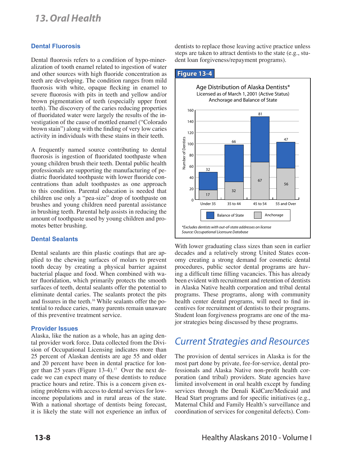#### **Dental Fluorosis**

Dental fluorosis refers to a condition of hypo-mineralization of tooth enamel related to ingestion of water and other sources with high fluoride concentration as teeth are developing. The condition ranges from mild fluorosis with white, opaque flecking in enamel to severe fluorosis with pits in teeth and yellow and/or brown pigmentation of teeth (especially upper front teeth). The discovery of the caries reducing properties of fluoridated water were largely the results of the investigation of the cause of mottled enamel ("Colorado brown stain") along with the finding of very low caries activity in individuals with these stains in their teeth.

A frequently named source contributing to dental fluorosis is ingestion of fluoridated toothpaste when young children brush their teeth. Dental public health professionals are supporting the manufacturing of pediatric fluoridated toothpaste with lower fluoride concentrations than adult toothpastes as one approach to this condition. Parental education is needed that children use only a "pea-size" drop of toothpaste on brushes and young children need parental assistance in brushing teeth. Parental help assists in reducing the amount of toothpaste used by young children and promotes better brushing.

#### **Dental Sealants**

Dental sealants are thin plastic coatings that are applied to the chewing surfaces of molars to prevent tooth decay by creating a physical barrier against bacterial plaque and food. When combined with water fluoridation, which primarily protects the smooth surfaces of teeth, dental sealants offer the potential to eliminate dental caries. The sealants protect the pits and fissures in the teeth.<sup>16</sup> While sealants offer the potential to reduce caries, many parents remain unaware of this preventive treatment service.

#### **Provider Issues**

Alaska, like the nation as a whole, has an aging dental provider work force. Data collected from the Division of Occupational Licensing indicates more than 25 percent of Alaskan dentists are age 55 and older and 20 percent have been in dental practice for longer than 25 years (Figure 13-4).<sup>17</sup> Over the next decade we can expect many of these dentists to reduce practice hours and retire. This is a concern given existing problems with access to dental services for lowincome populations and in rural areas of the state. With a national shortage of dentists being forecast, it is likely the state will not experience an influx of dentists to replace those leaving active practice unless steps are taken to attract dentists to the state (e.g., student loan forgiveness/repayment programs).

#### **Figure 13-4**



With lower graduating class sizes than seen in earlier decades and a relatively strong United States economy creating a strong demand for cosmetic dental procedures, public sector dental programs are having a difficult time filling vacancies. This has already been evident with recruitment and retention of dentists in Alaska Native health corporation and tribal dental programs. These programs, along with community health center dental programs, will need to find incentives for recruitment of dentists to their programs. Student loan forgiveness programs are one of the major strategies being discussed by these programs.

### **Current Strategies and Resources**

The provision of dental services in Alaska is for the most part done by private, fee-for-service, dental professionals and Alaska Native non-profit health corporation (and tribal) providers. State agencies have limited involvement in oral health except by funding services through the Denali KidCare/Medicaid and Head Start programs and for specific initiatives (e.g., Maternal Child and Family Health's surveillance and coordination of services for congenital defects). Com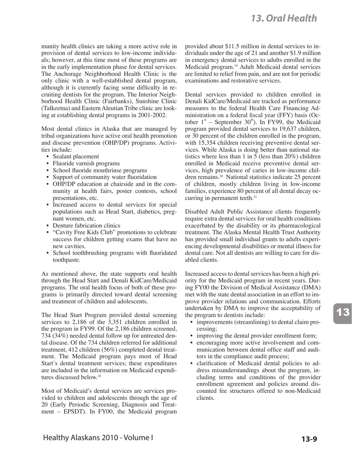munity health clinics are taking a more active role in provision of dental services to low-income individuals; however, at this time most of these programs are in the early implementation phase for dental services. The Anchorage Neighborhood Health Clinic is the only clinic with a well-established dental program, although it is currently facing some difficulty in recruiting dentists for the program. The Interior Neighborhood Health Clinic (Fairbanks), Sunshine Clinic (Talkeetna) and Eastern Aleutian Tribe clinic are looking at establishing dental programs in 2001-2002.

Most dental clinics in Alaska that are managed by tribal organizations have active oral health promotion and disease prevention (OHP/DP) programs. Activities include:

- Sealant placement
- Fluoride varnish programs
- School fluoride mouthrinse programs
- Support of community water fluoridation
- OHP/DP education at chairside and in the community at health fairs, poster contests, school presentations, etc.
- Increased access to dental services for special populations such as Head Start, diabetics, pregnant women, etc.
- Denture fabrication clinics
- "Cavity Free Kids Club" promotions to celebrate success for children getting exams that have no new cavities.
- School toothbrushing programs with fluoridated toothpaste.

As mentioned above, the state supports oral health through the Head Start and Denali KidCare/Medicaid programs. The oral health focus of both of these programs is primarily directed toward dental screening and treatment of children and adolescents.

The Head Start Program provided dental screening services to 2,186 of the 3,351 children enrolled in the program in FY99. Of the 2,186 children screened, 734 (34%) needed dental follow up for untreated dental disease. Of the 734 children referred for additional treatment, 412 children (56%) completed dental treatment. The Medicaid program pays most of Head Start's dental treatment services; these expenditures are included in the information on Medicaid expenditures discussed below.<sup>18</sup>

Most of Medicaid's dental services are services provided to children and adolescents through the age of 20 (Early Periodic Screening, Diagnosis and Treatment – EPSDT). In FY00, the Medicaid program

provided about \$11.5 million in dental services to individuals under the age of 21 and another \$1.9 million in emergency dental services to adults enrolled in the Medicaid program.<sup>19</sup> Adult Medicaid dental services are limited to relief from pain, and are not for periodic examinations and restorative services.

Dental services provided to children enrolled in Denali KidCare/Medicaid are tracked as performance measures to the federal Health Care Financing Administration on a federal fiscal year (FFY) basis (October  $1<sup>st</sup>$  – September 30<sup>th</sup>). In FY99, the Medicaid program provided dental services to 19,637 children, or 30 percent of the children enrolled in the program, with 15,354 children receiving preventive dental services. While Alaska is doing better than national statistics where less than 1 in 5 (less than 20%) children enrolled in Medicaid receive preventive dental services, high prevalence of caries in low-income children remains.<sup>20</sup> National statistics indicate 25 percent of children, mostly children living in low-income families, experience 80 percent of all dental decay occurring in permanent teeth.<sup>21</sup>

Disabled Adult Public Assistance clients frequently require extra dental services for oral health conditions exacerbated by the disability or its pharmacological treatment. The Alaska Mental Health Trust Authority has provided small individual grants to adults experiencing developmental disabilities or mental illness for dental care. Not all dentists are willing to care for disabled clients.

Increased access to dental services has been a high priority for the Medicaid program in recent years. During FY00 the Division of Medical Assistance (DMA) met with the state dental association in an effort to improve provider relations and communication. Efforts undertaken by DMA to improve the acceptability of the program to dentists include:

- improvements (streamlining) to dental claim processing;
- improving the dental provider enrollment form; • encouraging more active involvement and communication between dental office staff and auditors in the compliance audit process;
- clarification of Medicaid dental policies to address misunderstandings about the program, including terms and conditions of the provider enrollment agreement and policies around discounted fee structures offered to non-Medicaid clients.

13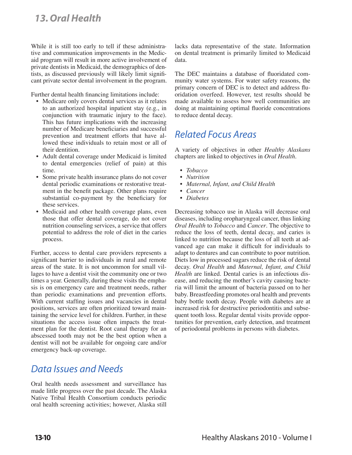While it is still too early to tell if these administrative and communication improvements in the Medicaid program will result in more active involvement of private dentists in Medicaid, the demographics of dentists, as discussed previously will likely limit significant private sector dental involvement in the program.

Further dental health financing limitations include:

- Medicare only covers dental services as it relates to an authorized hospital inpatient stay (e.g., in conjunction with traumatic injury to the face). This has future implications with the increasing number of Medicare beneficiaries and successful prevention and treatment efforts that have allowed these individuals to retain most or all of their dentition.
- Adult dental coverage under Medicaid is limited to dental emergencies (relief of pain) at this time.
- Some private health insurance plans do not cover dental periodic examinations or restorative treatment in the benefit package. Other plans require substantial co-payment by the beneficiary for these services.
- Medicaid and other health coverage plans, even those that offer dental coverage, do not cover nutrition counseling services, a service that offers potential to address the role of diet in the caries process.

Further, access to dental care providers represents a significant barrier to individuals in rural and remote areas of the state. It is not uncommon for small villages to have a dentist visit the community one or two times a year. Generally, during these visits the emphasis is on emergency care and treatment needs, rather than periodic examinations and prevention efforts. With current staffing issues and vacancies in dental positions, services are often prioritized toward maintaining the service level for children. Further, in these situations the access issue often impacts the treatment plan for the dentist. Root canal therapy for an abscessed tooth may not be the best option when a dentist will not be available for ongoing care and/or emergency back-up coverage.

### **Data Issues and Needs**

Oral health needs assessment and surveillance has made little progress over the past decade. The Alaska Native Tribal Health Consortium conducts periodic oral health screening activities; however, Alaska still

lacks data representative of the state. Information on dental treatment is primarily limited to Medicaid data.

The DEC maintains a database of fluoridated community water systems. For water safety reasons, the primary concern of DEC is to detect and address fluoridation overfeed. However, test results should be made available to assess how well communities are doing at maintaining optimal fluoride concentrations to reduce dental decay.

## *Related Focus Areas*

A variety of objectives in other *Healthy Alaskans* chapters are linked to objectives in *Oral Health*.

- *• Tobacco*
- *• Nutrition*
- *• Maternal, Infant, and Child Health*
- *• Cancer*
- *• Diabetes*

Decreasing tobacco use in Alaska will decrease oral diseases, including oropharyngeal cancer, thus linking *Oral Health* to *Tobacco* and *Cancer*. The objective to reduce the loss of teeth, dental decay, and caries is linked to nutrition because the loss of all teeth at advanced age can make it difficult for individuals to adapt to dentures and can contribute to poor nutrition. Diets low in processed sugars reduce the risk of dental decay. *Oral Health* and *Maternal, Infant, and Child Health* are linked. Dental caries is an infectious disease, and reducing the mother's cavity causing bacteria will limit the amount of bacteria passed on to her baby. Breastfeeding promotes oral health and prevents baby bottle tooth decay. People with diabetes are at increased risk for destructive periodontitis and subsequent tooth loss. Regular dental visits provide opportunities for prevention, early detection, and treatment of periodontal problems in persons with diabetes.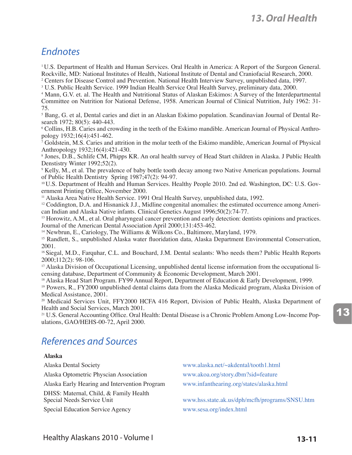### Endnotes

1 U.S. Department of Health and Human Services. Oral Health in America: A Report of the Surgeon General. Rockville, MD: National Institutes of Health, National Institute of Dental and Craniofacial Research, 2000.

<sup>2</sup> Centers for Disease Control and Prevention. National Health Interview Survey, unpublished data, 1997.

3 U.S. Public Health Service. 1999 Indian Health Service Oral Health Survey, preliminary data, 2000.

4 Mann, G.V. et. al. The Health and Nutritional Status of Alaskan Eskimos: A Survey of the Interdepartmental Committee on Nutrition for National Defense, 1958. American Journal of Clinical Nutrition, July 1962: 31- 75.

5 Bang, G. et al, Dental caries and diet in an Alaskan Eskimo population. Scandinavian Journal of Dental Research 1972; 80(5): 440-443.

6 Collins, H.B. Caries and crowding in the teeth of the Eskimo mandible. American Journal of Physical Anthropology 1932;16(4):451-462.

7 Goldstein, M.S. Caries and attrition in the molar teeth of the Eskimo mandible, American Journal of Physical Anthropology 1932;16(4):421-430.

8 Jones, D.B., Schlife CM, Phipps KR. An oral health survey of Head Start children in Alaska. J Public Health Denstistry Winter 1992;52(2).

9 Kelly, M., et al. The prevalence of baby bottle tooth decay among two Native American populations. Journal of Public Health Dentistry Spring 1987;47(2): 94-97.

10 U.S. Department of Health and Human Services. Healthy People 2010. 2nd ed. Washington, DC: U.S. Government Printing Office, November 2000.

11 Alaska Area Native Health Service. 1991 Oral Health Survey, unpublished data, 1992.

<sup>12</sup> Coddington, D.A. and Hisnanick J.J., Midline congenital anomalies: the estimated occurrence among American Indian and Alaska Native infants. Clinical Genetics August 1996;50(2):74-77.

<sup>13</sup> Horowitz, A.M., et al. Oral pharyngeal cancer prevention and early detection: dentists opinions and practices. Journal of the American Dental Association April 2000;131:453-462.

14 Newbrun, E., Cariology, The Williams & Wilkons Co., Baltimore, Maryland, 1979.

15 Randlett, S., unpublished Alaska water fluoridation data, Alaska Department Environmental Conservation, 2001.

16 Siegal, M.D., Farquhar, C.L. and Bouchard, J.M. Dental sealants: Who needs them? Public Health Reports 2000;112(2): 98-106.

<sup>17</sup> Alaska Division of Occupational Licensing, unpublished dental license information from the occupational licensing database, Department of Community & Economic Development, March 2001.

<sup>18</sup> Alaska Head Start Program. FY99 Annual Report, Department of Education & Early Development, 1999.

19 Powers, R., FY2000 unpublished dental claims data from the Alaska Medicaid program, Alaska Division of Medical Assistance, 2001.

20 Medicaid Services Unit, FFY2000 HCFA 416 Report, Division of Public Health, Alaska Department of Health and Social Services, March 2001.

21 U.S. General Accounting Office. Oral Health: Dental Disease is a Chronic Problem Among Low-Income Populations, GAO/HEHS-00-72, April 2000.

# *2EFERENCESAND3OURCES*

#### **Alaska**

Alaska Dental Society www.alaska.net/~akdental/tooth1.html Alaska Optometric Physcian Association www.akoa.org/story.dbm?sid=feature Alaska Early Hearing and Intervention Program www.infanthearing.org/states/alaska.html DHSS: Maternal, Child, & Family Health

Special Education Service Agency www.sesa.org/index.html

www.hss.state.ak.us/dph/mcfh/programs/SNSU.htm